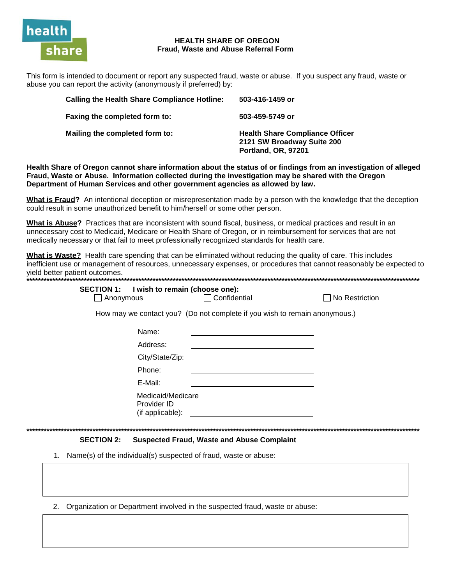

\*\*\*\*\*\*\*\*\*

## **HEALTH SHARE OF OREGON** Fraud, Waste and Abuse Referral Form

This form is intended to document or report any suspected fraud, waste or abuse. If you suspect any fraud, waste or abuse you can report the activity (anonymously if preferred) by:

| Calling the Health Share Compliance Hotline: | 503-416-1459 or                                                                             |
|----------------------------------------------|---------------------------------------------------------------------------------------------|
| Faxing the completed form to:                | 503-459-5749 or                                                                             |
| Mailing the completed form to:               | <b>Health Share Compliance Officer</b><br>2121 SW Broadway Suite 200<br>Portland, OR, 97201 |

Health Share of Oregon cannot share information about the status of or findings from an investigation of alleged Fraud, Waste or Abuse. Information collected during the investigation may be shared with the Oregon Department of Human Services and other government agencies as allowed by law.

What is Fraud? An intentional deception or misrepresentation made by a person with the knowledge that the deception could result in some unauthorized benefit to him/herself or some other person.

What is Abuse? Practices that are inconsistent with sound fiscal, business, or medical practices and result in an unnecessary cost to Medicaid, Medicare or Health Share of Oregon, or in reimbursement for services that are not medically necessary or that fail to meet professionally recognized standards for health care.

What is Waste? Health care spending that can be eliminated without reducing the quality of care. This includes inefficient use or management of resources, unnecessary expenses, or procedures that cannot reasonably be expected to yield better patient outcomes. .<br>\*\*\*\*\*\*\*\*\*\*\*\*\*\*\*\*\*\*\*\*\*\*\*\*\*\*\*\*\*\*\*\*\* 

| $\Box$ Anonymous  | SECTION 1: I wish to remain (choose one):            | Confidential                                                               | No Restriction |
|-------------------|------------------------------------------------------|----------------------------------------------------------------------------|----------------|
|                   |                                                      | How may we contact you? (Do not complete if you wish to remain anonymous.) |                |
|                   | Name:                                                |                                                                            |                |
|                   | Address:                                             |                                                                            |                |
|                   | City/State/Zip:                                      |                                                                            |                |
|                   | Phone:                                               |                                                                            |                |
|                   | E-Mail:                                              |                                                                            |                |
|                   | Medicaid/Medicare<br>Provider ID<br>(if applicable): |                                                                            |                |
|                   |                                                      |                                                                            |                |
| <b>SECTION 2:</b> |                                                      | <b>Suspected Fraud, Waste and Abuse Complaint</b>                          |                |

1. Name(s) of the individual(s) suspected of fraud, waste or abuse:

2. Organization or Department involved in the suspected fraud, waste or abuse: